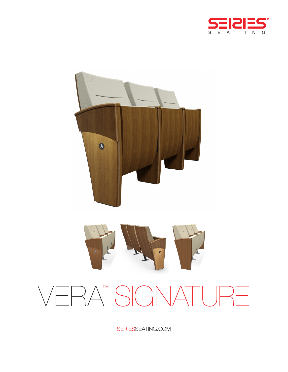



# VERA<sup>TM</sup> SIGNATURE

SERIESSEATING.COM